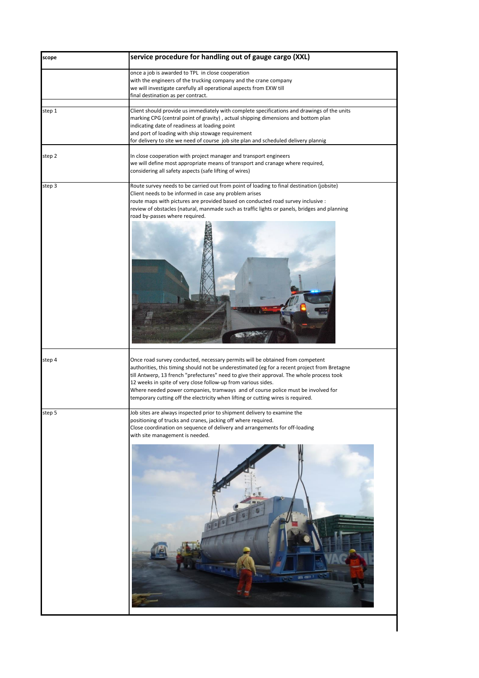| scope  | service procedure for handling out of gauge cargo (XXL)                                                                                                                                                                                                                                                                                                                                                                                                                                                             |
|--------|---------------------------------------------------------------------------------------------------------------------------------------------------------------------------------------------------------------------------------------------------------------------------------------------------------------------------------------------------------------------------------------------------------------------------------------------------------------------------------------------------------------------|
|        | once a job is awarded to TPL in close cooperation<br>with the engineers of the trucking company and the crane company<br>we will investigate carefully all operational aspects from EXW till<br>final destination as per contract.                                                                                                                                                                                                                                                                                  |
| step 1 | Client should provide us immediately with complete specifications and drawings of the units<br>marking CPG (central point of gravity), actual shipping dimensions and bottom plan<br>indicating date of readiness at loading point<br>and port of loading with ship stowage requirement<br>for delivery to site we need of course job site plan and scheduled delivery plannig                                                                                                                                      |
| step 2 | In close cooperation with project manager and transport engineers<br>we will define most appropriate means of transport and cranage where required,<br>considering all safety aspects (safe lifting of wires)                                                                                                                                                                                                                                                                                                       |
| step 3 | Route survey needs to be carried out from point of loading to final destination (jobsite)<br>Client needs to be informed in case any problem arises<br>route maps with pictures are provided based on conducted road survey inclusive :<br>review of obstacles (natural, manmade such as traffic lights or panels, bridges and planning<br>road by-passes where required.                                                                                                                                           |
| step 4 | Once road survey conducted, necessary permits will be obtained from competent<br>authorities, this timing should not be underestimated (eg for a recent project from Bretagne<br>till Antwerp, 13 french "prefectures" need to give their approval. The whole process took<br>12 weeks in spite of very close follow-up from various sides.<br>Where needed power companies, tramways and of course police must be involved for<br>temporary cutting off the electricity when lifting or cutting wires is required. |
| step 5 | Job sites are always inspected prior to shipment delivery to examine the<br>positioning of trucks and cranes, jacking off where required.<br>Close coordination on sequence of delivery and arrangements for off-loading<br>with site management is needed.<br>CRTU 410771                                                                                                                                                                                                                                          |